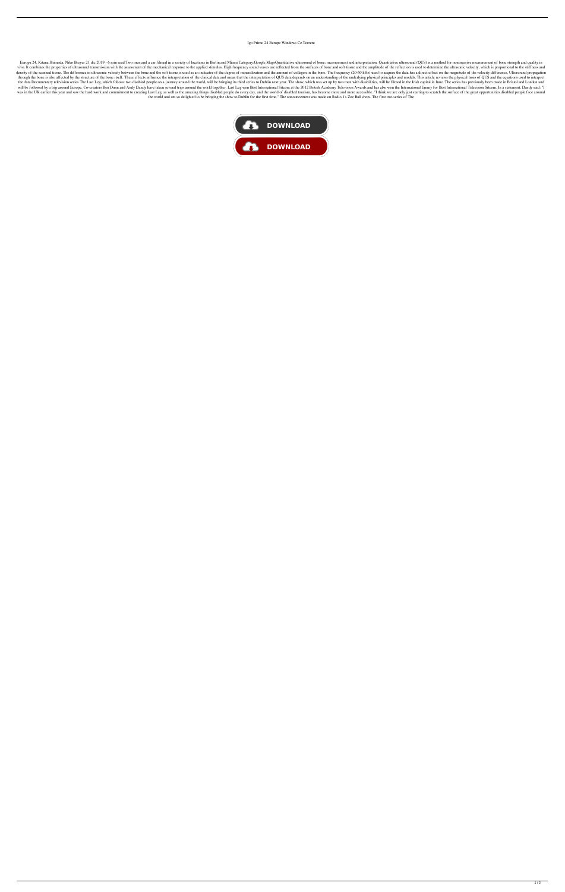## Igo Primo 24 Europe Windows Ce Torrent

Europa 24, Kitana Shimada, Niko Breyer 21 dic 2019 - 6 min read Two men and a car filmed in a variety of locations in Berlin and Miami Category:Google MapsQuantitative ultrasound of bone: measurement and interpretation. Qu vivo. It combines the properties of ultrasound transmission with the assessment of the mechanical response to the applied stimulus. High frequency sound waves are reflected from the surfaces of bone and soft tissue and the density of the scanned tissue. The difference in ultrasonic velocity between the bone and the soft tissue is used as an indicator of the degree of mineralization and the amount of collagen in the bone. The frequency (20-60 through the bone is also affected by the structure of the bone itself. These effects influence the interpretation of the clinical data and mean that the interpretation of QUS data depends on an understanding of the underly the data.Documentary television series The Last Leg, which follows two disabled people on a journey around the world, will be bringing its third series to Dublin next year. The show, which was set up by two men with disabi will be followed by a trip around Europe. Co-creators Ben Dunn and Andy Dandy have taken several trips around the world together. Last Leg won Best International Sitcom at the 2012 British Academy Television Awards and has was in the UK earlier this year and saw the hard work and commitment to creating Last Leg, as well as the amazing things disabled people do every day, and the world of disabled tourism, has become more and more accessible. the world and am so delighted to be bringing the show to Dublin for the first time." The announcement was made on Radio 1's Zoe Ball show. The first two series of The